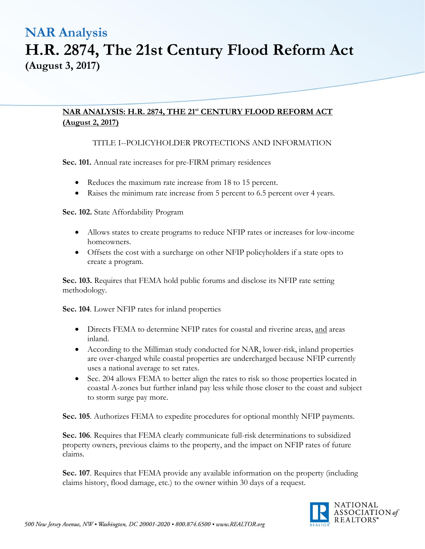### **NAR ANALYSIS: H.R. 2874, THE 21st CENTURY FLOOD REFORM ACT (August 2, 2017)**

### TITLE I--POLICYHOLDER PROTECTIONS AND INFORMATION

**Sec. 101.** Annual rate increases for pre-FIRM primary residences

- Reduces the maximum rate increase from 18 to 15 percent.
- Raises the minimum rate increase from 5 percent to 6.5 percent over 4 years.

**Sec. 102.** State Affordability Program

- Allows states to create programs to reduce NFIP rates or increases for low-income homeowners.
- Offsets the cost with a surcharge on other NFIP policyholders if a state opts to create a program.

**Sec. 103.** Requires that FEMA hold public forums and disclose its NFIP rate setting methodology.

**Sec. 104**. Lower NFIP rates for inland properties

- Directs FEMA to determine NFIP rates for coastal and riverine areas, and areas inland.
- According to the Milliman study conducted for NAR, lower-risk, inland properties are over-charged while coastal properties are undercharged because NFIP currently uses a national average to set rates.
- Sec. 204 allows FEMA to better align the rates to risk so those properties located in coastal A-zones but further inland pay less while those closer to the coast and subject to storm surge pay more.

**Sec. 105**. Authorizes FEMA to expedite procedures for optional monthly NFIP payments.

**Sec. 106**. Requires that FEMA clearly communicate full-risk determinations to subsidized property owners, previous claims to the property, and the impact on NFIP rates of future claims.

**Sec. 107**. Requires that FEMA provide any available information on the property (including claims history, flood damage, etc.) to the owner within 30 days of a request.

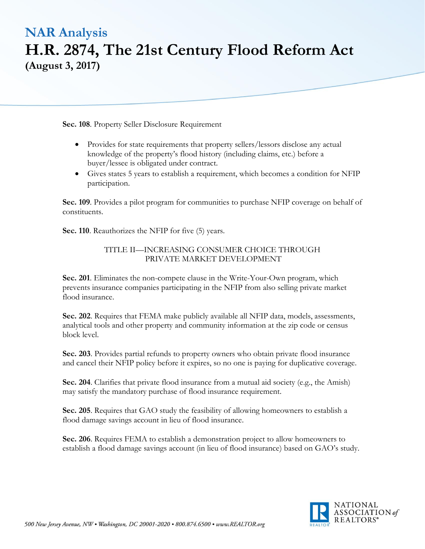**Sec. 108**. Property Seller Disclosure Requirement

- Provides for state requirements that property sellers/lessors disclose any actual knowledge of the property's flood history (including claims, etc.) before a buyer/lessee is obligated under contract.
- Gives states 5 years to establish a requirement, which becomes a condition for NFIP participation.

**Sec. 109**. Provides a pilot program for communities to purchase NFIP coverage on behalf of constituents.

**Sec. 110**. Reauthorizes the NFIP for five (5) years.

### TITLE II—INCREASING CONSUMER CHOICE THROUGH PRIVATE MARKET DEVELOPMENT

**Sec. 201**. Eliminates the non-compete clause in the Write-Your-Own program, which prevents insurance companies participating in the NFIP from also selling private market flood insurance.

**Sec. 202**. Requires that FEMA make publicly available all NFIP data, models, assessments, analytical tools and other property and community information at the zip code or census block level.

**Sec. 203**. Provides partial refunds to property owners who obtain private flood insurance and cancel their NFIP policy before it expires, so no one is paying for duplicative coverage.

**Sec. 204**. Clarifies that private flood insurance from a mutual aid society (e.g., the Amish) may satisfy the mandatory purchase of flood insurance requirement.

**Sec. 205**. Requires that GAO study the feasibility of allowing homeowners to establish a flood damage savings account in lieu of flood insurance.

**Sec. 206**. Requires FEMA to establish a demonstration project to allow homeowners to establish a flood damage savings account (in lieu of flood insurance) based on GAO's study.

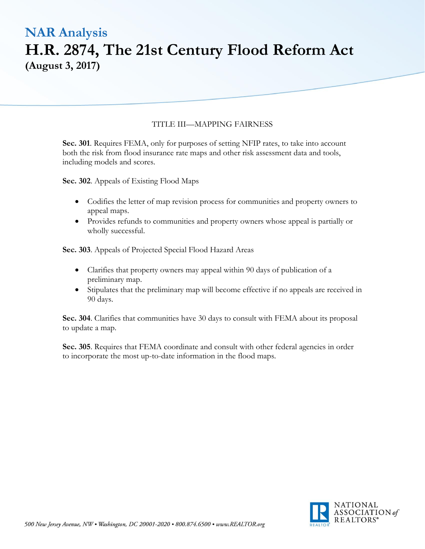#### TITLE III—MAPPING FAIRNESS

**Sec. 301**. Requires FEMA, only for purposes of setting NFIP rates, to take into account both the risk from flood insurance rate maps and other risk assessment data and tools, including models and scores.

**Sec. 302**. Appeals of Existing Flood Maps

- Codifies the letter of map revision process for communities and property owners to appeal maps.
- Provides refunds to communities and property owners whose appeal is partially or wholly successful.

**Sec. 303**. Appeals of Projected Special Flood Hazard Areas

- Clarifies that property owners may appeal within 90 days of publication of a preliminary map.
- Stipulates that the preliminary map will become effective if no appeals are received in 90 days.

**Sec. 304**. Clarifies that communities have 30 days to consult with FEMA about its proposal to update a map.

**Sec. 305**. Requires that FEMA coordinate and consult with other federal agencies in order to incorporate the most up-to-date information in the flood maps.

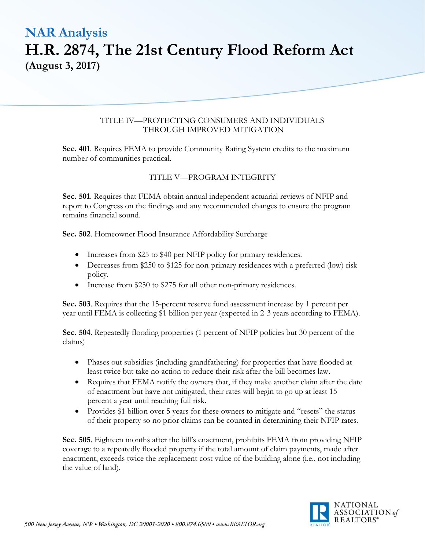#### TITLE IV—PROTECTING CONSUMERS AND INDIVIDUALS THROUGH IMPROVED MITIGATION

**Sec. 401**. Requires FEMA to provide Community Rating System credits to the maximum number of communities practical.

### TITLE V—PROGRAM INTEGRITY

**Sec. 501**. Requires that FEMA obtain annual independent actuarial reviews of NFIP and report to Congress on the findings and any recommended changes to ensure the program remains financial sound.

**Sec. 502**. Homeowner Flood Insurance Affordability Surcharge

- Increases from \$25 to \$40 per NFIP policy for primary residences.
- Decreases from \$250 to \$125 for non-primary residences with a preferred (low) risk policy.
- Increase from \$250 to \$275 for all other non-primary residences.

**Sec. 503**. Requires that the 15-percent reserve fund assessment increase by 1 percent per year until FEMA is collecting \$1 billion per year (expected in 2-3 years according to FEMA).

**Sec. 504**. Repeatedly flooding properties (1 percent of NFIP policies but 30 percent of the claims)

- Phases out subsidies (including grandfathering) for properties that have flooded at least twice but take no action to reduce their risk after the bill becomes law.
- Requires that FEMA notify the owners that, if they make another claim after the date of enactment but have not mitigated, their rates will begin to go up at least 15 percent a year until reaching full risk.
- Provides \$1 billion over 5 years for these owners to mitigate and "resets" the status of their property so no prior claims can be counted in determining their NFIP rates.

**Sec. 505**. Eighteen months after the bill's enactment, prohibits FEMA from providing NFIP coverage to a repeatedly flooded property if the total amount of claim payments, made after enactment, exceeds twice the replacement cost value of the building alone (i.e., not including the value of land).

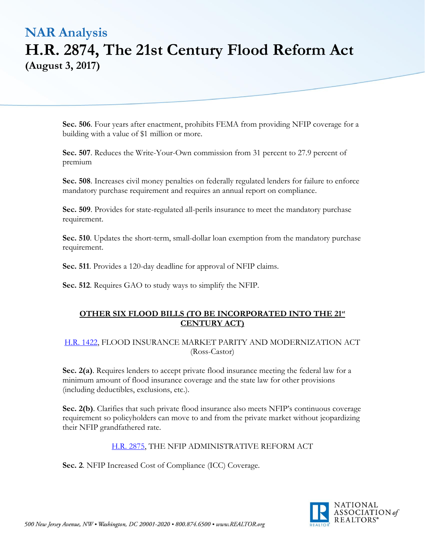**Sec. 506**. Four years after enactment, prohibits FEMA from providing NFIP coverage for a building with a value of \$1 million or more.

**Sec. 507**. Reduces the Write-Your-Own commission from 31 percent to 27.9 percent of premium

**Sec. 508**. Increases civil money penalties on federally regulated lenders for failure to enforce mandatory purchase requirement and requires an annual report on compliance.

**Sec. 509**. Provides for state-regulated all-perils insurance to meet the mandatory purchase requirement.

**Sec. 510**. Updates the short-term, small-dollar loan exemption from the mandatory purchase requirement.

**Sec. 511**. Provides a 120-day deadline for approval of NFIP claims.

**Sec. 512**. Requires GAO to study ways to simplify the NFIP.

### **OTHER SIX FLOOD BILLS (TO BE INCORPORATED INTO THE 21st CENTURY ACT)**

### [H.R. 1422,](https://financialservices.house.gov/UploadedFiles/BILLS-115hr1422ih.pdf) FLOOD INSURANCE MARKET PARITY AND MODERNIZATION ACT (Ross-Castor)

**Sec. 2(a)**. Requires lenders to accept private flood insurance meeting the federal law for a minimum amount of flood insurance coverage and the state law for other provisions (including deductibles, exclusions, etc.).

**Sec. 2(b)**. Clarifies that such private flood insurance also meets NFIP's continuous coverage requirement so policyholders can move to and from the private market without jeopardizing their NFIP grandfathered rate.

### [H.R. 2875,](https://financialservices.house.gov/UploadedFiles/BILLS-115hr2875ih.pdf) THE NFIP ADMINISTRATIVE REFORM ACT

**Sec. 2**. NFIP Increased Cost of Compliance (ICC) Coverage.

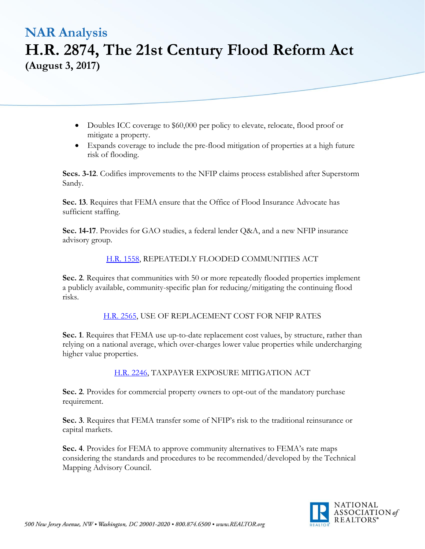- Doubles ICC coverage to \$60,000 per policy to elevate, relocate, flood proof or mitigate a property.
- Expands coverage to include the pre-flood mitigation of properties at a high future risk of flooding.

**Secs. 3-12**. Codifies improvements to the NFIP claims process established after Superstorm Sandy.

**Sec. 13**. Requires that FEMA ensure that the Office of Flood Insurance Advocate has sufficient staffing.

**Sec. 14-17**. Provides for GAO studies, a federal lender Q&A, and a new NFIP insurance advisory group.

### [H.R. 1558,](https://financialservices.house.gov/UploadedFiles/BILLS-115hr1558ih.pdf) REPEATEDLY FLOODED COMMUNITIES ACT

**Sec. 2**. Requires that communities with 50 or more repeatedly flooded properties implement a publicly available, community-specific plan for reducing/mitigating the continuing flood risks.

[H.R. 2565,](https://financialservices.house.gov/UploadedFiles/BILLS-115hr2565ih.pdf) USE OF REPLACEMENT COST FOR NFIP RATES

**Sec. 1**. Requires that FEMA use up-to-date replacement cost values, by structure, rather than relying on a national average, which over-charges lower value properties while undercharging higher value properties.

[H.R. 2246,](https://financialservices.house.gov/UploadedFiles/BILLS-115hr2246ih.pdf) TAXPAYER EXPOSURE MITIGATION ACT

**Sec. 2**. Provides for commercial property owners to opt-out of the mandatory purchase requirement.

**Sec. 3**. Requires that FEMA transfer some of NFIP's risk to the traditional reinsurance or capital markets.

**Sec. 4**. Provides for FEMA to approve community alternatives to FEMA's rate maps considering the standards and procedures to be recommended/developed by the Technical Mapping Advisory Council.